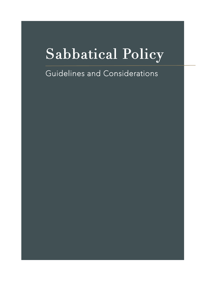# Sabbatical Policy

# Guidelines and Considerations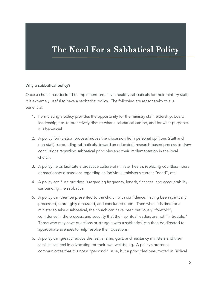# The Need For a Sabbatical Policy

#### Why a sabbatical policy?

Once a church has decided to implement proactive, healthy sabbaticals for their ministry staff, it is extremely useful to have a sabbatical policy. The following are reasons why this is beneficial:

- 1. Formulating a policy provides the opportunity for the ministry staff, eldership, board, leadership, etc. to proactively discuss what a sabbatical can be, and for what purposes it is beneficial.
- 2. A policy formulation process moves the discussion from personal opinions (staff and non-staff) surrounding sabbaticals, toward an educated, research-based process to draw conclusions regarding sabbatical principles and their implementation in the local church.
- 3. A policy helps facilitate a proactive culture of minister health, replacing countless hours of reactionary discussions regarding an individual minister's current "need", etc.
- 4. A policy can flush out details regarding frequency, length, finances, and accountability surrounding the sabbatical.
- 5. A policy can then be presented to the church with confidence, having been spiritually processed, thoroughly discussed, and concluded upon. Then when it is time for a minister to take a sabbatical, the church can have been previously "foretold", confidence in the process, and security that their spiritual leaders are not "in trouble." Those who may have questions or struggle with a sabbatical can then be directed to appropriate avenues to help resolve their questions.
- 6. A policy can greatly reduce the fear, shame, guilt, and hesitancy ministers and their families can feel in advocating for their own well-being. A policy's presence communicates that it is not a "personal" issue, but a principled one, rooted in Biblical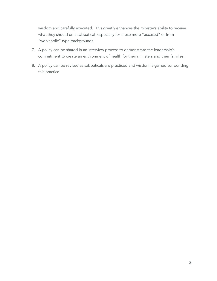wisdom and carefully executed. This greatly enhances the minister's ability to receive what they should on a sabbatical, especially for those more "accused" or from "workaholic" type backgrounds.

- 7. A policy can be shared in an interview process to demonstrate the leadership's commitment to create an environment of health for their ministers and their families.
- 8. A policy can be revised as sabbaticals are practiced and wisdom is gained surrounding this practice.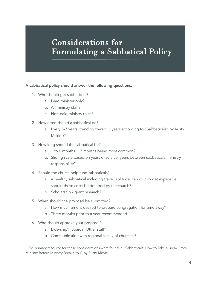# Considerations for Formulating a Sabbatical Policy

#### A sabbatical policy should answer the following questions:

- 1. Who should get sabbaticals?
	- a. Lead minister only?
	- b. All ministry staff?
	- c. Non-paid ministry roles?
- 2. How often should a sabbatical be?
	- a. Every 5-7 years (trending toward 5 years according to "Sabbaticals" by Rusty Mckie<sup>1</sup>)?
- <span id="page-3-1"></span>3. How long should the sabbatical be?
	- a. 1 to 6 months… 3 months being most common?
	- b. Sliding scale based on years of service, years between sabbaticals, ministry responsibility?
- 4. Should the church help fund sabbaticals?
	- a. A healthy sabbatical including travel, solitude, can quickly get expensive… should these costs be deferred by the church?
	- b. Scholarship / grant research?
- 5. When should the proposal be submitted?
	- a. How much time is desired to prepare congregation for time away?
	- b. Three months prior to a year recommended.
- 6. Who should approve your proposal?
	- a. Eldership? Board? Other staff?
	- b. Communication with regional family of churches?

<span id="page-3-0"></span><sup>&</sup>lt;sup>1</sup>The primary resource for these considerations were found in "Sabbaticals: How to Take a Break From Ministry Before Ministry Breaks You" by Rusty McKie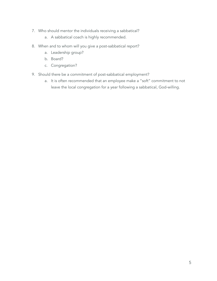- 7. Who should mentor the individuals receiving a sabbatical?
	- a. A sabbatical coach is highly recommended.
- 8. When and to whom will you give a post-sabbatical report?
	- a. Leadership group?
	- b. Board?
	- c. Congregation?
- 9. Should there be a commitment of post-sabbatical employment?
	- a. It is often recommended that an employee make a "soft" commitment to not leave the local congregation for a year following a sabbatical, God-willing.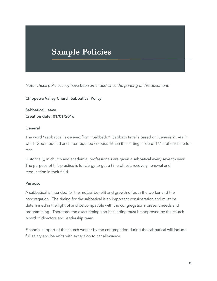# Sample Policies

*Note: These policies may have been amended since the printing of this document.*

#### Chippewa Valley Church Sabbatical Policy

Sabbatical Leave Creation date: 01/01/2016

#### **General**

The word "sabbatical is derived from "Sabbath." Sabbath time is based on Genesis 2:1-4a in which God modeled and later required (Exodus 16:23) the setting aside of 1/7th of our time for rest.

Historically, in church and academia, professionals are given a sabbatical every seventh year. The purpose of this practice is for clergy to get a time of rest, recovery, renewal and reeducation in their field.

#### Purpose

A sabbatical is intended for the mutual benefit and growth of both the worker and the congregation. The timing for the sabbatical is an important consideration and must be determined in the light of and be compatible with the congregation's present needs and programming. Therefore, the exact timing and its funding must be approved by the church board of directors and leadership team.

Financial support of the church worker by the congregation during the sabbatical will include full salary and benefits with exception to car allowance.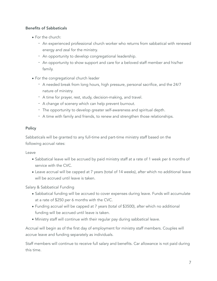#### Benefits of Sabbaticals

- For the church:
	- An experienced professional church worker who returns from sabbatical with renewed energy and zeal for the ministry.
	- An opportunity to develop congregational leadership.
	- An opportunity to show support and care for a beloved staff member and his/her family.
- For the congregational church leader
	- A needed break from long hours, high pressure, personal sacrifice, and the 24/7 nature of ministry.
	- A time for prayer, rest, study, decision-making, and travel.
	- A change of scenery which can help prevent burnout.
	- The opportunity to develop greater self-awareness and spiritual depth.
	- A time with family and friends, to renew and strengthen those relationships.

#### Policy

Sabbaticals will be granted to any full-time and part-time ministry staff based on the following accrual rates:

#### Leave

- Sabbatical leave will be accrued by paid ministry staff at a rate of 1 week per 6 months of service with the CVC.
- Leave accrual will be capped at 7 years (total of 14 weeks), after which no additional leave will be accrued until leave is taken.

Salary & Sabbatical Funding

- Sabbatical funding will be accrued to cover expenses during leave. Funds will accumulate at a rate of \$250 per 6 months with the CVC.
- Funding accrual will be capped at 7 years (total of \$3500), after which no additional funding will be accrued until leave is taken.
- Ministry staff will continue with their regular pay during sabbatical leave.

Accrual will begin as of the first day of employment for ministry staff members. Couples will accrue leave and funding separately as individuals.

Staff members will continue to receive full salary and benefits. Car allowance is not paid during this time.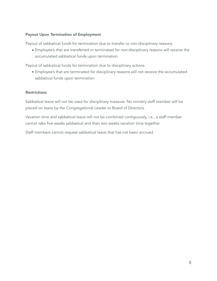#### Payout Upon Termination of Employment

Payout of sabbatical funds for termination due to transfer or non-disciplinary reasons.

• Employee's that are transferred or terminated for non-disciplinary reasons will receive the accumulated sabbatical funds upon termination.

Payout of sabbatical funds for termination due to disciplinary actions

• Employee's that are terminated for disciplinary reasons will not receive the accumulated sabbatical funds upon termination.

#### Restrictions

Sabbatical leave will not be used for disciplinary measure. No ministry staff member will be placed on leave by the Congregational Leader or Board of Directors.

Vacation time and sabbatical leave will not be combined contiguously, i.e., a staff member cannot take five weeks sabbatical and then two weeks vacation time together.

Staff members cannot request sabbatical leave that has not been accrued.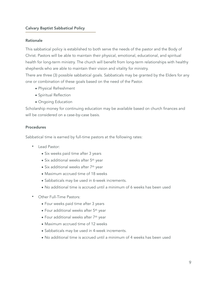#### Calvary Baptist Sabbatical Policy

#### Rationale

This sabbatical policy is established to both serve the needs of the pastor and the Body of Christ. Pastors will be able to maintain their physical, emotional, educational, and spiritual health for long-term ministry. The church will benefit from long-term relationships with healthy shepherds who are able to maintain their vision and vitality for ministry.

There are three (3) possible sabbatical goals. Sabbaticals may be granted by the Elders for any one or combination of these goals based on the need of the Pastor.

- Physical Refreshment
- Spiritual Reflection
- Ongoing Education

Scholarship money for continuing education may be available based on church finances and will be considered on a case-by-case basis.

#### Procedures

Sabbatical time is earned by full-time pastors at the following rates:

- Lead Pastor:
	- Six weeks paid time after 3 years
	- Six additional weeks after 5<sup>th</sup> year
	- Six additional weeks after 7<sup>th</sup> year
	- Maximum accrued time of 18 weeks
	- Sabbaticals may be used in 6-week increments.
	- No additional time is accrued until a minimum of 6 weeks has been used
- Other Full-Time Pastors:
	- Four weeks paid time after 3 years
	- Four additional weeks after 5th year
	- Four additional weeks after 7th year
	- Maximum accrued time of 12 weeks
	- Sabbaticals may be used in 4-week increments.
	- No additional time is accrued until a minimum of 4 weeks has been used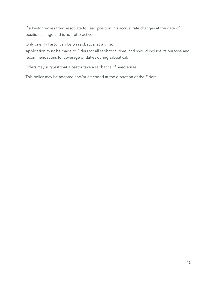If a Pastor moves from Associate to Lead position, his accrual rate changes at the date of position change and is not retro-active.

Only one (1) Pastor can be on sabbatical at a time.

Application must be made to Elders for all sabbatical time, and should include its purpose and recommendations for coverage of duties during sabbatical.

Elders may suggest that a pastor take a sabbatical if need arises.

This policy may be adapted and/or amended at the discretion of the Elders.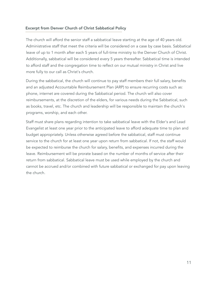#### Excerpt from Denver Church of Christ Sabbatical Policy

The church will afford the senior staff a sabbatical leave starting at the age of 40 years old. Administrative staff that meet the criteria will be considered on a case by case basis. Sabbatical leave of up to 1 month after each 5 years of full-time ministry to the Denver Church of Christ. Additionally, sabbatical will be considered every 5 years thereafter. Sabbatical time is intended to afford staff and the congregation time to reflect on our mutual ministry in Christ and live more fully to our call as Christ's church.

During the sabbatical, the church will continue to pay staff members their full salary, benefits and an adjusted Accountable Reimbursement Plan (ARP) to ensure recurring costs such as: phone, internet are covered during the Sabbatical period. The church will also cover reimbursements, at the discretion of the elders, for various needs during the Sabbatical, such as books, travel, etc. The church and leadership will be responsible to maintain the church's programs, worship, and each other.

Staff must share plans regarding intention to take sabbatical leave with the Elder's and Lead Evangelist at least one year prior to the anticipated leave to afford adequate time to plan and budget appropriately. Unless otherwise agreed before the sabbatical, staff must continue service to the church for at least one year upon return from sabbatical. If not, the staff would be expected to reimburse the church for salary, benefits, and expenses incurred during the leave. Reimbursement will be prorate based on the number of months of service after their return from sabbatical. Sabbatical leave must be used while employed by the church and cannot be accrued and/or combined with future sabbatical or exchanged for pay upon leaving the church.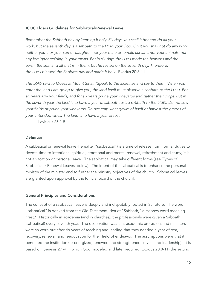#### ICOC Elders Guidelines for Sabbatical/Renewal Leave

*Remember the Sabbath day by keeping it holy. Six days you shall labor and do all your work, but the seventh day is a sabbath to the LORD your God. On it you shall not do any work, neither you, nor your son or daughter, nor your male or female servant, nor your animals, nor any foreigner residing in your towns. For in six days the LORD made the heavens and the earth, the sea, and all that is in them, but he rested on the seventh day. Therefore, the LORD blessed the Sabbath day and made it holy.* Exodus 20:8-11

*The LORD said to Moses at Mount Sinai, "Speak to the Israelites and say to them: 'When you enter the land I am going to give you, the land itself must observe a sabbath to the LORD. For six years sow your fields, and for six years prune your vineyards and gather their crops. But in the seventh year the land is to have a year of sabbath rest, a sabbath to the LORD. Do not sow your fields or prune your vineyards. Do not reap what grows of itself or harvest the grapes of your untended vines. The land is to have a year of rest.* 

Leviticus 25:1-5

#### Definition

A sabbatical or renewal leave (hereafter "sabbatical") is a time of release from normal duties to devote time to intentional spiritual, emotional and mental renewal, refreshment and study; it is not a vacation or personal leave. The sabbatical may take different forms (see 'Types of Sabbatical / Renewal Leaves' below). The intent of the sabbatical is to enhance the personal ministry of the minister and to further the ministry objectives of the church. Sabbatical leaves are granted upon approval by the [official board of the church].

#### General Principles and Considerations

The concept of a sabbatical leave is deeply and indisputably rooted in Scripture. The word "sabbatical" is derived from the Old Testament idea of "Sabbath," a Hebrew word meaning "rest." Historically in academia (and in churches), the professionals were given a Sabbath (sabbatical) every seventh year. The observation was that academic professors and ministers were so worn out after six years of teaching and leading that they needed a year of rest, recovery, renewal, and reeducation for their field of endeavor. The assumptions were that it benefited the institution (re-energized, renewed and strengthened service and leadership). It is based on Genesis 2:1-4 in which God modeled and later required (Exodus 20:8-11) the setting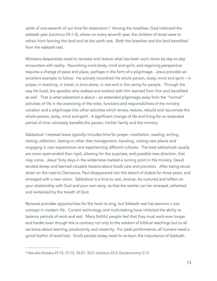<span id="page-12-1"></span>asideof one-seventh of our time for restoration.<sup>[2](#page-12-0)</sup> Among the Israelites, God instituted the sabbath year (Leviticus 25:1-5), where on every seventh year, the children of Israel were to refrain from farming the land and let the earth rest. Both the Israelites and the land benefited from the sabbath rest.

Ministers desperately need to recreate and restore what has been worn down by day-to-day encounters with reality. Nourishing one's body, mind and spirit, and regaining perspective requires a change of pace and place, perhaps in the form of a pilgrimage. Jesus provides an excellent example to follow. He actively nourished His whole person, body, mind and spirit – in prayer, in teaching, in travel, in time alone, in rest and in the caring for people. Through the way He lived, the apostles who walked and worked with Him learned from Him and benefited as well. That is what sabbatical is about – an extended pilgrimage away from the "normal" activities of life in the exercising of the roles, functions and responsibilities of the ministry vocation and a pilgrimage into other activities which renew, restore, rebuild and rejuvenate the whole person, body, mind and spirit. A significant change of life and living for an extended period of time ultimately benefits the person, his/her family and the ministry.

Sabbatical / renewal leave typically includes time for prayer, meditation, reading, writing, resting, reflection, fasting or other diet management, traveling, visiting new places and engaging in new experiences and experiencing different cultures. The best sabbaticals usually are more open-ended than rigid, allowing for the surprises, and possible new direction, that may come. Jesus' forty days in the wilderness marked a turning point in His ministry. David tended sheep and learned valuable lessons about God's care and provision. After being struck down on the road to Damascus, Paul disappeared into the desert of Arabia for three years, and emerged with a new vision. Sabbatical is a time to rest, receive, be nurtured and reflect on your relationship with God and your own story, so that the worker can be renewed, refreshed and revitalized by the breath of God.

Renewal provides opportunities for the heart to sing, but Sabbath rest has become a lost concept in modern life. Current technology and multi-tasking have inhibited the ability to balance periods of work and rest. Many faithful people feel that they must work ever longer and harder even though this is contrary not only to the wisdom of biblical teachings but to all we know about learning, productivity and creativity. For peak performance, all humans need a good rhythm of work/rest. God's people today need to re-learn the importance of Sabbath.

<span id="page-12-0"></span>[<sup>2</sup>](#page-12-1) See also Exodus 23:12, 31:15, 34:21, 35:2; Leviticus 23:3; Deuteronomy 5:13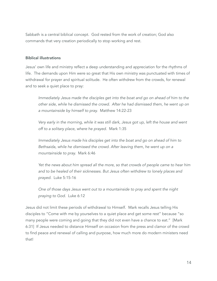Sabbath is a central biblical concept. God rested from the work of creation; God also commands that very creation periodically to stop working and rest.

#### Biblical illustrations

Jesus' own life and ministry reflect a deep understanding and appreciation for the rhythms of life. The demands upon Him were so great that His own ministry was punctuated with times of withdrawal for prayer and spiritual solitude. He often withdrew from the crowds, for renewal and to seek a quiet place to pray:

*Immediately Jesus made the disciples get into the boat and go on ahead of him to the other side, while he dismissed the crowd. After he had dismissed them, he went up on a mountainside by himself to pray.* Matthew 14:22-23

*Very early in the morning, while it was still dark, Jesus got up, left the house and went off to a solitary place, where he prayed.* Mark 1:35

*Immediately Jesus made his disciples get into the boat and go on ahead of him to Bethsaida, while he dismissed the crowd. After leaving them, he went up on a mountainside to pray.* Mark 6:46

*Yet the news about him spread all the more, so that crowds of people came to hear him and to be healed of their sicknesses. But Jesus often withdrew to lonely places and prayed.* Luke 5:15-16

*One of those days Jesus went out to a mountainside to pray and spent the night praying to God.* Luke 6:12

Jesus did not limit these periods of withdrawal to Himself. Mark recalls Jesus telling His disciples to "Come with me by yourselves to a quiet place and get some rest" because "so many people were coming and going that they did not even have a chance to eat." [Mark 6:31] If Jesus needed to distance Himself on occasion from the press and clamor of the crowd to find peace and renewal of calling and purpose, how much more do modern ministers need that!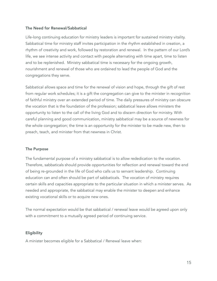#### The Need for Renewal/Sabbatical

Life-long continuing education for ministry leaders is important for sustained ministry vitality. Sabbatical time for ministry staff invites participation in the rhythm established in creation, a rhythm of creativity and work, followed by restoration and renewal. In the pattern of our Lord's life, we see intense activity and contact with people alternating with time apart, time to listen and to be replenished. Ministry sabbatical time is necessary for the ongoing growth, nourishment and renewal of those who are ordained to lead the people of God and the congregations they serve.

Sabbatical allows space and time for the renewal of vision and hope, through the gift of rest from regular work schedules; it is a gift the congregation can give to the minister in recognition of faithful ministry over an extended period of time. The daily pressures of ministry can obscure the vocation that is the foundation of the profession; sabbatical leave allows ministers the opportunity to listen to the call of the living God and to discern direction for ministry. With careful planning and good communication, ministry sabbatical may be a source of newness for the whole congregation; the time is an opportunity for the minister to be made new, then to preach, teach, and minister from that newness in Christ.

#### The Purpose

The fundamental purpose of a ministry sabbatical is to allow rededication to the vocation. Therefore, sabbaticals should provide opportunities for reflection and renewal toward the end of being re-grounded in the life of God who calls us to servant leadership. Continuing education can and often should be part of sabbaticals. The vocation of ministry requires certain skills and capacities appropriate to the particular situation in which a minister serves. As needed and appropriate, the sabbatical may enable the minister to deepen and enhance existing vocational skills or to acquire new ones.

The normal expectation would be that sabbatical / renewal leave would be agreed upon only with a commitment to a mutually agreed period of continuing service.

#### **Eligibility**

A minister becomes eligible for a Sabbatical / Renewal leave when: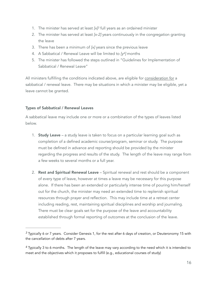- <span id="page-15-2"></span>1. The minister has served at least *[x]* full years as an ordained minister *[3](#page-15-0)*
- 2. The minister has served at least *[x-2]* years continuously in the congregation granting the leave
- 3. There has been a minimum of *[x]* years since the previous leave
- <span id="page-15-3"></span>[4](#page-15-1). A Sabbatical / Renewal Leave will be limited to [y<sup>4</sup>] months
- 5. The minister has followed the steps outlined in "Guidelines for Implementation of Sabbatical / Renewal Leave"

All ministers fulfilling the conditions indicated above, are eligible for consideration for a sabbatical / renewal leave. There may be situations in which a minister may be eligible, yet a leave cannot be granted.

#### Types of Sabbatical / Renewal Leaves

A sabbatical leave may include one or more or a combination of the types of leaves listed below.

- 1. **Study Leave** a study leave is taken to focus on a particular learning goal such as completion of a defined academic course/program, seminar or study. The purpose must be defined in advance and reporting should be provided by the minister regarding the progress and results of the study. The length of the leave may range from a few weeks to several months or a full year.
- 2. Rest and Spiritual Renewal Leave Spiritual renewal and rest should be a component of every type of leave, however at times a leave may be necessary for this purpose alone. If there has been an extended or particularly intense time of pouring him/herself out for the church, the minister may need an extended time to replenish spiritual resources through prayer and reflection. This may include time at a retreat center including reading, rest, maintaining spiritual disciplines and worship and journaling. There must be clear goals set for the purpose of the leave and accountability established through formal reporting of outcomes at the conclusion of the leave.

<span id="page-15-0"></span>Typically 6 or 7 years. Consider Genesis 1, for the rest after 6 days of creation, or Deuteronomy 15 with *[3](#page-15-2)* the cancellation of debts after 7 years.

<span id="page-15-1"></span>Typically 3 to 6 months. The length of the leave may vary according to the need which it is intended to *[4](#page-15-3)* meet and the objectives which it proposes to fulfill (e.g., educational courses of study)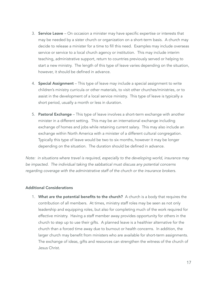- 3. **Service Leave** On occasion a minister may have specific expertise or interests that may be needed by a sister church or organization on a short-term basis. A church may decide to release a minister for a time to fill this need. Examples may include overseas service or service to a local church agency or institution. This may include interim teaching, administrative support, return to countries previously served or helping to start a new ministry. The length of this type of leave varies depending on the situation, however, it should be defined in advance.
- 4. **Special Assignment** This type of leave may include a special assignment to write children's ministry curricula or other materials, to visit other churches/ministries, or to assist in the development of a local service ministry. This type of leave is typically a short period, usually a month or less in duration.
- 5. Pastoral Exchange This type of leave involves a short-term exchange with another minister in a different setting. This may be an international exchange including exchange of homes and jobs while retaining current salary. This may also include an exchange within North America with a minister of a different cultural congregation. Typically this type of leave would be two to six months, however it may be longer depending on the situation. The duration should be defined in advance.

*Note: in situations where travel is required, especially to the developing world, insurance may be impacted. The individual taking the sabbatical must discuss any potential concerns regarding coverage with the administrative staff of the church or the insurance brokers.*

#### Additional Considerations

1. What are the potential benefits to the church? A church is a body that requires the contribution of all members. At times, ministry staff roles may be seen as not only leadership and equipping roles, but also for completing much of the work required for effective ministry. Having a staff member away provides opportunity for others in the church to step up to use their gifts. A planned leave is a healthier alternative for the church than a forced time away due to burnout or health concerns. In addition, the larger church may benefit from ministers who are available for short-term assignments. The exchange of ideas, gifts and resources can strengthen the witness of the church of Jesus Christ.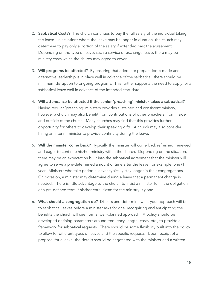- 2. Sabbatical Costs? The church continues to pay the full salary of the individual taking the leave. In situations where the leave may be longer in duration, the church may determine to pay only a portion of the salary if extended past the agreement. Depending on the type of leave, such a service or exchange leave, there may be ministry costs which the church may agree to cover.
- 3. Will programs be affected? By ensuring that adequate preparation is made and alternative leadership is in place well in advance of the sabbatical, there should be minimum disruption to ongoing programs. This further supports the need to apply for a sabbatical leave well in advance of the intended start date.
- 4. Will attendance be affected if the senior 'preaching' minister takes a sabbatical? Having regular 'preaching' ministers provides sustained and consistent ministry, however a church may also benefit from contributions of other preachers, from inside and outside of the church. Many churches may find that this provides further opportunity for others to develop their speaking gifts. A church may also consider hiring an interim minister to provide continuity during the leave.
- 5. Will the minister come back? Typically the minister will come back refreshed, renewed and eager to continue his/her ministry within the church. Depending on the situation, there may be an expectation built into the sabbatical agreement that the minister will agree to serve a pre-determined amount of time after the leave, for example, one (1) year. Ministers who take periodic leaves typically stay longer in their congregations. On occasion, a minister may determine during a leave that a permanent change is needed. There is little advantage to the church to insist a minister fulfill the obligation of a pre-defined term if his/her enthusiasm for the ministry is gone.
- 6. What should a congregation do? Discuss and determine what your approach will be to sabbatical leaves before a minister asks for one, recognizing and anticipating the benefits the church will see from a well-planned approach. A policy should be developed defining parameters around frequency, length, costs, etc., to provide a framework for sabbatical requests. There should be some flexibility built into the policy to allow for different types of leaves and the specific requests. Upon receipt of a proposal for a leave, the details should be negotiated with the minister and a written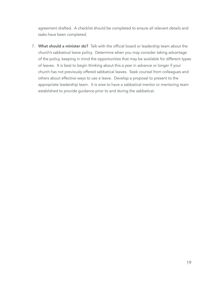agreement drafted. A checklist should be completed to ensure all relevant details and tasks have been completed.

7. What should a minister do? Talk with the official board or leadership team about the church's sabbatical leave policy. Determine when you may consider taking advantage of the policy, keeping in mind the opportunities that may be available for different types of leaves. It is best to begin thinking about this a year in advance or longer if your church has not previously offered sabbatical leaves. Seek counsel from colleagues and others about effective ways to use a leave. Develop a proposal to present to the appropriate leadership team. It is wise to have a sabbatical mentor or mentoring team established to provide guidance prior to and during the sabbatical.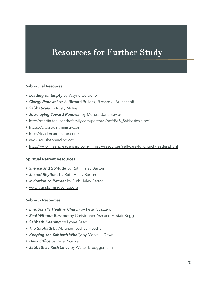## Resources for Further Study

#### Sabbatical Resoures

- *Leading on Empty* by Wayne Cordeiro
- *Clergy Renewal* by A. Richard Bullock, Richard J. Bruesehoff
- *Sabbaticals* by Rusty McKie
- *Journeying Toward Renewal* by Melissa Bane Sevier
- [http://media.focusonthefamily.com/pastoral/pdf/PAS\\_Sabbaticals.pdf](http://media.focusonthefamily.com/pastoral/pdf/PAS_Sabbaticals.pdf)
- [https://crosspointministry.com](https://crosspointministry.com/)
- <http://leadercareonline.com/>
- [www.soulshepherding.org](http://www.soulshepherding.org/)
- <http://www.lifeandleadership.com/ministry-resources/self-care-for-church-leaders.html>

#### Spiritual Retreat Resources

- *Silence and Solitude* by Ruth Haley Barton
- *Sacred Rhythms* by Ruth Haley Barton
- *Invitation to Retreat* by Ruth Haley Barton
- [www.transformingcenter.org](http://www.transformingcenter.org)

#### Sabbath Resources

- *Emotionally Healthy Church* by Peter Scazzero
- *Zeal Without Burnout* by Christopher Ash and Alistair Begg
- *Sabbath Keeping* by Lynne Baab
- *The Sabbath* by Abraham Joshua Heschel
- *Keeping the Sabbath Wholly* by Marva J. Dawn
- *Daily Office* by Peter Scazzero
- *Sabbath as Resistance* by Walter Brueggemann